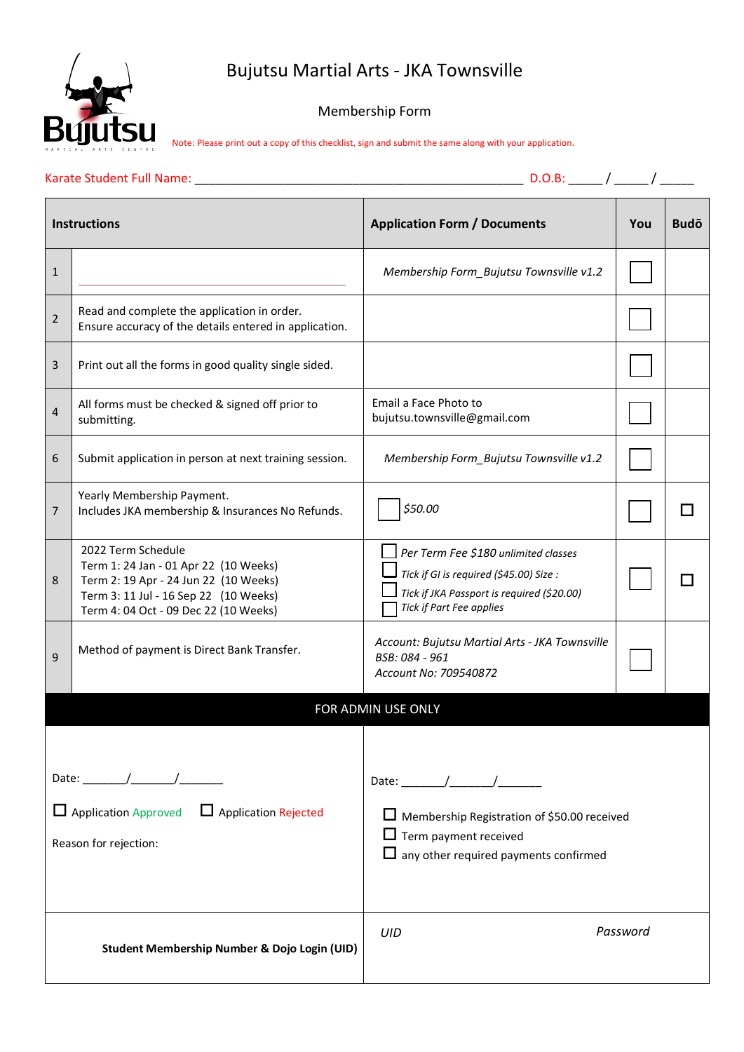### Bujutsu Martial Arts - JKA Townsville



### Membership Form

Note: Please print out a copy of this checklist, sign and submit the same along with your application.

| <b>Instructions</b>                                                                   |                                                                                                                                                                                        | <b>Application Form / Documents</b>                                                                                                                       | You      | <b>Budō</b> |  |
|---------------------------------------------------------------------------------------|----------------------------------------------------------------------------------------------------------------------------------------------------------------------------------------|-----------------------------------------------------------------------------------------------------------------------------------------------------------|----------|-------------|--|
| $\mathbf{1}$                                                                          |                                                                                                                                                                                        | Membership Form_Bujutsu Townsville v1.2                                                                                                                   |          |             |  |
| $\overline{2}$                                                                        | Read and complete the application in order.<br>Ensure accuracy of the details entered in application.                                                                                  |                                                                                                                                                           |          |             |  |
| 3                                                                                     | Print out all the forms in good quality single sided.                                                                                                                                  |                                                                                                                                                           |          |             |  |
| 4                                                                                     | All forms must be checked & signed off prior to<br>submitting.                                                                                                                         | Email a Face Photo to<br>bujutsu.townsville@gmail.com                                                                                                     |          |             |  |
| 6                                                                                     | Submit application in person at next training session.                                                                                                                                 | Membership Form Bujutsu Townsville v1.2                                                                                                                   |          |             |  |
| $\overline{7}$                                                                        | Yearly Membership Payment.<br>Includes JKA membership & Insurances No Refunds.                                                                                                         | \$50.00                                                                                                                                                   |          |             |  |
| 8                                                                                     | 2022 Term Schedule<br>Term 1: 24 Jan - 01 Apr 22 (10 Weeks)<br>Term 2: 19 Apr - 24 Jun 22 (10 Weeks)<br>Term 3: 11 Jul - 16 Sep 22 (10 Weeks)<br>Term 4: 04 Oct - 09 Dec 22 (10 Weeks) | Per Term Fee \$180 unlimited classes<br>Tick if GI is required (\$45.00) Size :<br>Tick if JKA Passport is required (\$20.00)<br>Tick if Part Fee applies |          |             |  |
| 9                                                                                     | Method of payment is Direct Bank Transfer.                                                                                                                                             | Account: Bujutsu Martial Arts - JKA Townsville<br>BSB: 084 - 961<br>Account No: 709540872                                                                 |          |             |  |
|                                                                                       | FOR ADMIN USE ONLY                                                                                                                                                                     |                                                                                                                                                           |          |             |  |
| Date: $/$ /<br>□ Application Approved □ Application Rejected<br>Reason for rejection: |                                                                                                                                                                                        | Membership Registration of \$50.00 received<br>$\Box$ Term payment received<br>$\Box$ any other required payments confirmed                               |          |             |  |
| Student Membership Number & Dojo Login (UID)                                          |                                                                                                                                                                                        | UID                                                                                                                                                       | Password |             |  |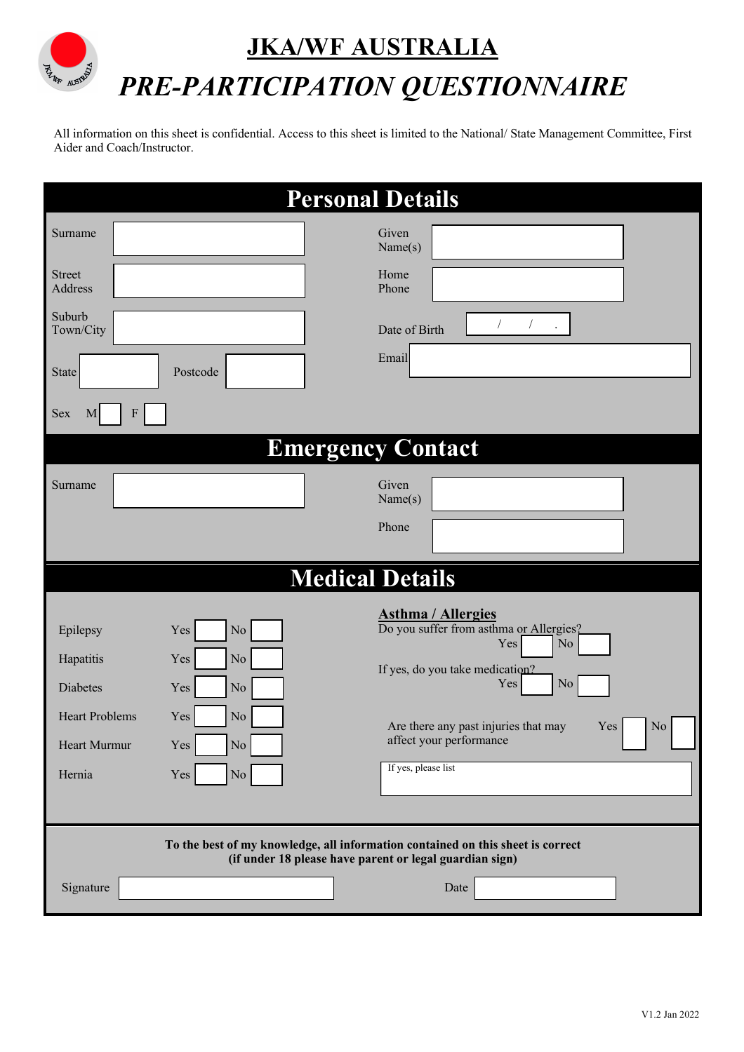# **JKA/WF AUSTRALIA** *PRE-PARTICIPATION QUESTIONNAIRE*

All information on this sheet is confidential. Access to this sheet is limited to the National/ State Management Committee, First Aider and Coach/Instructor.

| <b>Personal Details</b>                                                                                                                    |                                                                                                          |                                                                                                                                                                                                                                                      |  |  |  |  |  |  |
|--------------------------------------------------------------------------------------------------------------------------------------------|----------------------------------------------------------------------------------------------------------|------------------------------------------------------------------------------------------------------------------------------------------------------------------------------------------------------------------------------------------------------|--|--|--|--|--|--|
| Surname                                                                                                                                    |                                                                                                          | Given<br>Name(s)                                                                                                                                                                                                                                     |  |  |  |  |  |  |
| <b>Street</b><br>Address                                                                                                                   |                                                                                                          | Home<br>Phone                                                                                                                                                                                                                                        |  |  |  |  |  |  |
| Suburb<br>Town/City                                                                                                                        |                                                                                                          | $\sqrt{2}$<br>Date of Birth                                                                                                                                                                                                                          |  |  |  |  |  |  |
| <b>State</b>                                                                                                                               | Postcode                                                                                                 | Email                                                                                                                                                                                                                                                |  |  |  |  |  |  |
| F<br>Sex<br>M                                                                                                                              |                                                                                                          |                                                                                                                                                                                                                                                      |  |  |  |  |  |  |
|                                                                                                                                            |                                                                                                          | <b>Emergency Contact</b>                                                                                                                                                                                                                             |  |  |  |  |  |  |
| Surname                                                                                                                                    |                                                                                                          | Given<br>Name(s)                                                                                                                                                                                                                                     |  |  |  |  |  |  |
|                                                                                                                                            |                                                                                                          | Phone                                                                                                                                                                                                                                                |  |  |  |  |  |  |
|                                                                                                                                            |                                                                                                          | <b>Medical Details</b>                                                                                                                                                                                                                               |  |  |  |  |  |  |
| Epilepsy<br>Hapatitis<br><b>Diabetes</b><br><b>Heart Problems</b><br>Heart Murmur<br>Hernia                                                | $\rm No$<br>Yes<br>Yes<br>No<br>$\rm No$<br>Yes<br>Yes<br>$\rm No$<br>$\overline{N}$<br>Yes<br>No<br>Yes | <b>Asthma / Allergies</b><br>Do you suffer from asthma or Allergies?<br>Yes<br>$\rm No$<br>If yes, do you take medication?<br>Yes<br>$\rm No$<br>Are there any past injuries that may<br>Yes<br>No<br>affect your performance<br>If yes, please list |  |  |  |  |  |  |
| To the best of my knowledge, all information contained on this sheet is correct<br>(if under 18 please have parent or legal guardian sign) |                                                                                                          |                                                                                                                                                                                                                                                      |  |  |  |  |  |  |
| Signature                                                                                                                                  |                                                                                                          | Date                                                                                                                                                                                                                                                 |  |  |  |  |  |  |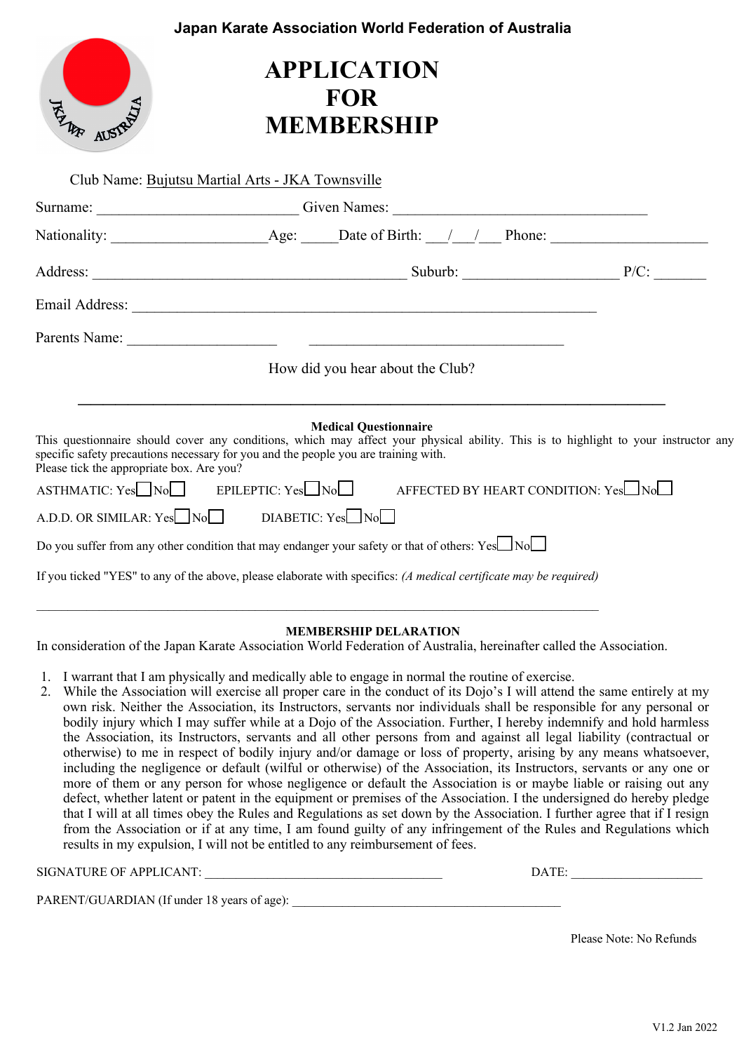|                                           |                                                                                                                                                                                                                                                                                             | Japan Karate Association World Federation of Australia                                                                                                                                                                                                                                                                                                                                 |  |
|-------------------------------------------|---------------------------------------------------------------------------------------------------------------------------------------------------------------------------------------------------------------------------------------------------------------------------------------------|----------------------------------------------------------------------------------------------------------------------------------------------------------------------------------------------------------------------------------------------------------------------------------------------------------------------------------------------------------------------------------------|--|
| <b>HAR AUSTRAL</b>                        | <b>APPLICATION</b><br><b>FOR</b><br><b>MEMBERSHIP</b>                                                                                                                                                                                                                                       |                                                                                                                                                                                                                                                                                                                                                                                        |  |
|                                           | Club Name: Bujutsu Martial Arts - JKA Townsville                                                                                                                                                                                                                                            |                                                                                                                                                                                                                                                                                                                                                                                        |  |
|                                           |                                                                                                                                                                                                                                                                                             | Surname: Civen Names: Civen Names:                                                                                                                                                                                                                                                                                                                                                     |  |
|                                           |                                                                                                                                                                                                                                                                                             |                                                                                                                                                                                                                                                                                                                                                                                        |  |
|                                           |                                                                                                                                                                                                                                                                                             |                                                                                                                                                                                                                                                                                                                                                                                        |  |
|                                           |                                                                                                                                                                                                                                                                                             |                                                                                                                                                                                                                                                                                                                                                                                        |  |
|                                           |                                                                                                                                                                                                                                                                                             |                                                                                                                                                                                                                                                                                                                                                                                        |  |
|                                           | How did you hear about the Club?                                                                                                                                                                                                                                                            |                                                                                                                                                                                                                                                                                                                                                                                        |  |
| Please tick the appropriate box. Are you? | <b>Medical Questionnaire</b><br>specific safety precautions necessary for you and the people you are training with.<br>A.D.D. OR SIMILAR: $Yes \Box No \Box$ DIABETIC: $Yes \Box No \Box$<br>Do you suffer from any other condition that may endanger your safety or that of others: Yes No | This questionnaire should cover any conditions, which may affect your physical ability. This is to highlight to your instructor any<br>$\overline{AB}$ ASTHMATIC: Yes $\Box$ No $\Box$ BPILEPTIC: Yes $\Box$ No $\Box$ AFFECTED BY HEART CONDITION: Yes $\Box$ No<br>If you ticked "YES" to any of the above, please elaborate with specifics: (A medical certificate may be required) |  |
|                                           |                                                                                                                                                                                                                                                                                             |                                                                                                                                                                                                                                                                                                                                                                                        |  |

### **MEMBERSHIP DELARATION**

In consideration of the Japan Karate Association World Federation of Australia, hereinafter called the Association.

- 1. I warrant that I am physically and medically able to engage in normal the routine of exercise.
- 2. While the Association will exercise all proper care in the conduct of its Dojo's I will attend the same entirely at my own risk. Neither the Association, its Instructors, servants nor individuals shall be responsible for any personal or bodily injury which I may suffer while at a Dojo of the Association. Further, I hereby indemnify and hold harmless the Association, its Instructors, servants and all other persons from and against all legal liability (contractual or otherwise) to me in respect of bodily injury and/or damage or loss of property, arising by any means whatsoever, including the negligence or default (wilful or otherwise) of the Association, its Instructors, servants or any one or more of them or any person for whose negligence or default the Association is or maybe liable or raising out any defect, whether latent or patent in the equipment or premises of the Association. I the undersigned do hereby pledge that I will at all times obey the Rules and Regulations as set down by the Association. I further agree that if I resign from the Association or if at any time, I am found guilty of any infringement of the Rules and Regulations which results in my expulsion, I will not be entitled to any reimbursement of fees.

| SIGNATURE OF APPLICANT:                     | DATE: |
|---------------------------------------------|-------|
| PARENT/GUARDIAN (If under 18 years of age): |       |

Please Note: No Refunds